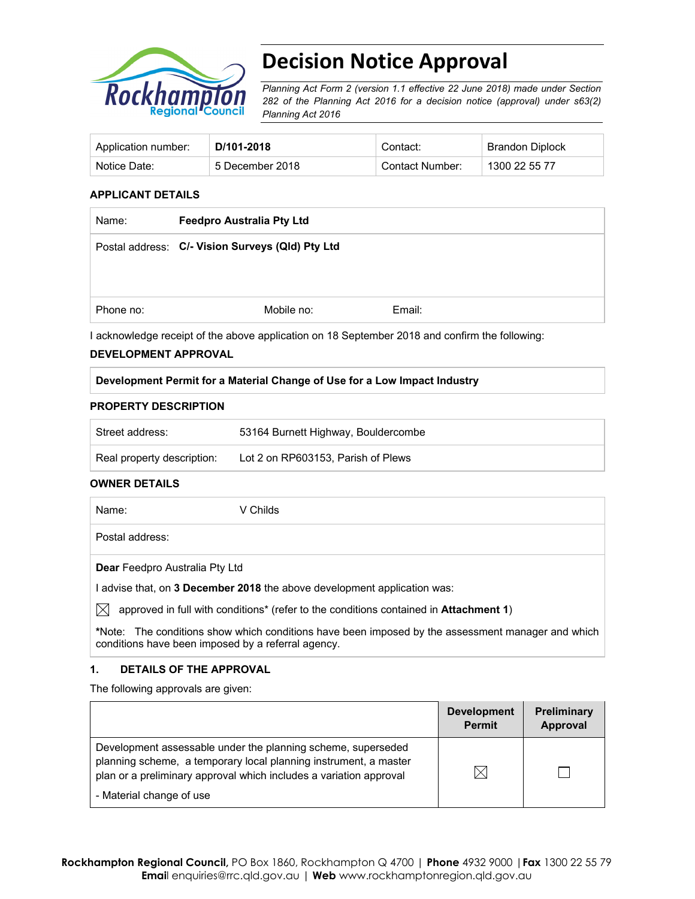

# **Decision Notice Approval**

*Planning Act Form 2 (version 1.1 effective 22 June 2018) made under Section 282 of the Planning Act 2016 for a decision notice (approval) under s63(2) Planning Act 2016*

| Application number: | D/101-2018      | Contact:        | Brandon Diplock |
|---------------------|-----------------|-----------------|-----------------|
| Notice Date:        | 5 December 2018 | Contact Number: | 1300 22 55 77   |

## **APPLICANT DETAILS**

| Name:     | <b>Feedpro Australia Pty Ltd</b>                 |        |
|-----------|--------------------------------------------------|--------|
|           | Postal address: C/- Vision Surveys (Qld) Pty Ltd |        |
|           |                                                  |        |
|           |                                                  |        |
| Phone no: | Mobile no:                                       | Email: |

I acknowledge receipt of the above application on 18 September 2018 and confirm the following:

### **DEVELOPMENT APPROVAL**

### **Development Permit for a Material Change of Use for a Low Impact Industry**

#### **PROPERTY DESCRIPTION**

| Street address:            | 53164 Burnett Highway, Bouldercombe |
|----------------------------|-------------------------------------|
| Real property description: | Lot 2 on RP603153, Parish of Plews  |

#### **OWNER DETAILS**

Name: V Childs

Postal address:

**Dear** Feedpro Australia Pty Ltd

I advise that, on **3 December 2018** the above development application was:

 $\boxtimes$  approved in full with conditions<sup>\*</sup> (refer to the conditions contained in **Attachment 1**)

**\***Note:The conditions show which conditions have been imposed by the assessment manager and which conditions have been imposed by a referral agency.

## **1. DETAILS OF THE APPROVAL**

The following approvals are given:

|                                                                                                                                                                                                        | <b>Development</b><br><b>Permit</b> | <b>Preliminary</b><br>Approval |
|--------------------------------------------------------------------------------------------------------------------------------------------------------------------------------------------------------|-------------------------------------|--------------------------------|
| Development assessable under the planning scheme, superseded<br>planning scheme, a temporary local planning instrument, a master<br>plan or a preliminary approval which includes a variation approval |                                     |                                |
| - Material change of use                                                                                                                                                                               |                                     |                                |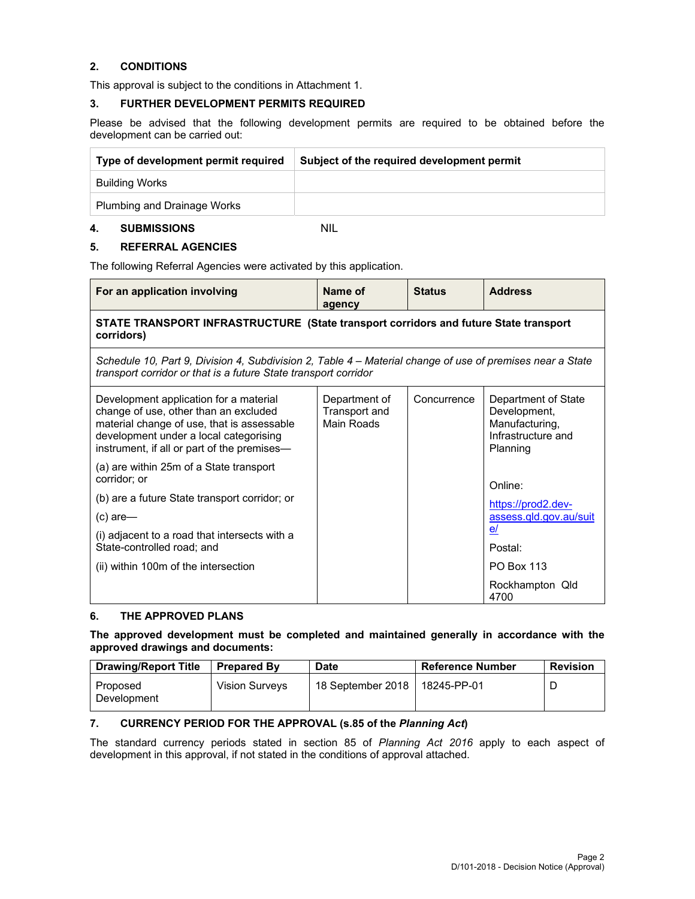# **2. CONDITIONS**

This approval is subject to the conditions in Attachment 1.

### **3. FURTHER DEVELOPMENT PERMITS REQUIRED**

Please be advised that the following development permits are required to be obtained before the development can be carried out:

| Type of development permit required | Subject of the required development permit |  |
|-------------------------------------|--------------------------------------------|--|
| Building Works                      |                                            |  |
| <b>Plumbing and Drainage Works</b>  |                                            |  |

#### **4. SUBMISSIONS** NIL

# **5. REFERRAL AGENCIES**

The following Referral Agencies were activated by this application.

| For an application involving                                                                                                                                                                                           | Name of<br>agency                                   | <b>Status</b> | <b>Address</b>                                                                          |  |  |  |
|------------------------------------------------------------------------------------------------------------------------------------------------------------------------------------------------------------------------|-----------------------------------------------------|---------------|-----------------------------------------------------------------------------------------|--|--|--|
| STATE TRANSPORT INFRASTRUCTURE (State transport corridors and future State transport<br>corridors)                                                                                                                     |                                                     |               |                                                                                         |  |  |  |
| Schedule 10, Part 9, Division 4, Subdivision 2, Table 4 – Material change of use of premises near a State<br>transport corridor or that is a future State transport corridor                                           |                                                     |               |                                                                                         |  |  |  |
| Development application for a material<br>change of use, other than an excluded<br>material change of use, that is assessable<br>development under a local categorising<br>instrument, if all or part of the premises- | Department of<br>Transport and<br><b>Main Roads</b> | Concurrence   | Department of State<br>Development,<br>Manufacturing,<br>Infrastructure and<br>Planning |  |  |  |
| (a) are within 25m of a State transport<br>corridor; or                                                                                                                                                                |                                                     |               | Online:                                                                                 |  |  |  |
| (b) are a future State transport corridor; or                                                                                                                                                                          |                                                     |               | https://prod2.dev-                                                                      |  |  |  |
| (c) are—                                                                                                                                                                                                               |                                                     |               | assess.gld.gov.au/suit                                                                  |  |  |  |
| (i) adjacent to a road that intersects with a<br>State-controlled road; and                                                                                                                                            |                                                     |               | e/<br>Postal:                                                                           |  |  |  |
| (ii) within 100m of the intersection                                                                                                                                                                                   |                                                     |               | <b>PO Box 113</b>                                                                       |  |  |  |
|                                                                                                                                                                                                                        |                                                     |               | Rockhampton Qld<br>4700                                                                 |  |  |  |

## **6. THE APPROVED PLANS**

### **The approved development must be completed and maintained generally in accordance with the approved drawings and documents:**

| <b>Drawing/Report Title</b> | <b>Prepared By</b>    | Date              | <b>Reference Number</b> | <b>Revision</b> |
|-----------------------------|-----------------------|-------------------|-------------------------|-----------------|
| Proposed<br>Development     | <b>Vision Survevs</b> | 18 September 2018 | 18245-PP-01             |                 |

# **7. CURRENCY PERIOD FOR THE APPROVAL (s.85 of the** *Planning Act***)**

The standard currency periods stated in section 85 of *Planning Act 2016* apply to each aspect of development in this approval, if not stated in the conditions of approval attached.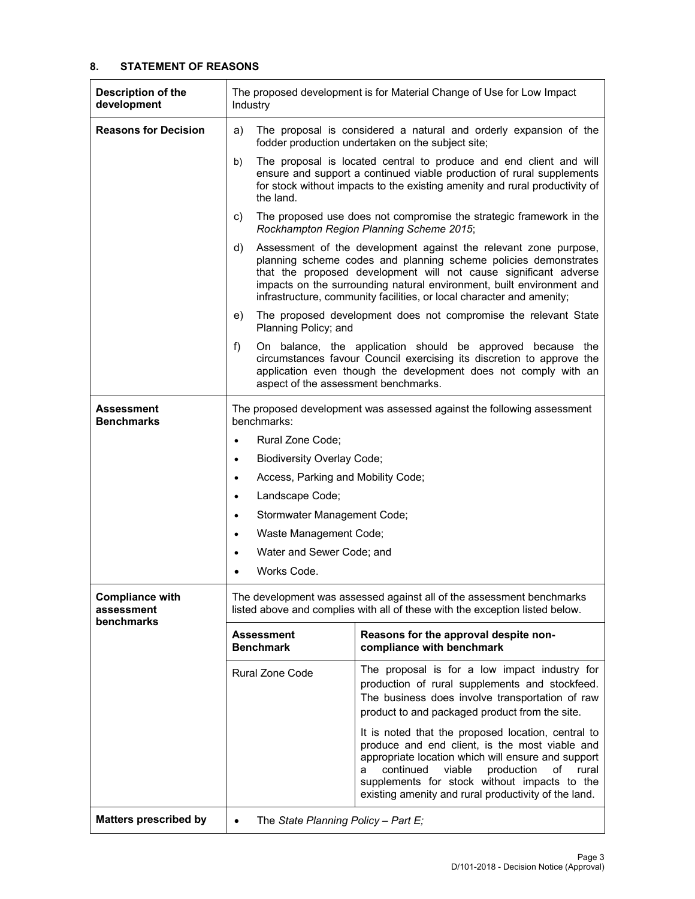## **8. STATEMENT OF REASONS**

| <b>Description of the</b><br>development                  | The proposed development is for Material Change of Use for Low Impact<br>Industry                                                                                                                                                                                                                                           |                                                                                                                                                                                                                                                                                                                                                           |  |  |
|-----------------------------------------------------------|-----------------------------------------------------------------------------------------------------------------------------------------------------------------------------------------------------------------------------------------------------------------------------------------------------------------------------|-----------------------------------------------------------------------------------------------------------------------------------------------------------------------------------------------------------------------------------------------------------------------------------------------------------------------------------------------------------|--|--|
| <b>Reasons for Decision</b>                               | The proposal is considered a natural and orderly expansion of the<br>a)<br>fodder production undertaken on the subject site;                                                                                                                                                                                                |                                                                                                                                                                                                                                                                                                                                                           |  |  |
|                                                           | b)<br>the land.                                                                                                                                                                                                                                                                                                             | The proposal is located central to produce and end client and will<br>ensure and support a continued viable production of rural supplements<br>for stock without impacts to the existing amenity and rural productivity of                                                                                                                                |  |  |
|                                                           | C)                                                                                                                                                                                                                                                                                                                          | The proposed use does not compromise the strategic framework in the<br>Rockhampton Region Planning Scheme 2015;                                                                                                                                                                                                                                           |  |  |
|                                                           | d)                                                                                                                                                                                                                                                                                                                          | Assessment of the development against the relevant zone purpose,<br>planning scheme codes and planning scheme policies demonstrates<br>that the proposed development will not cause significant adverse<br>impacts on the surrounding natural environment, built environment and<br>infrastructure, community facilities, or local character and amenity; |  |  |
|                                                           | e)<br>Planning Policy; and                                                                                                                                                                                                                                                                                                  | The proposed development does not compromise the relevant State                                                                                                                                                                                                                                                                                           |  |  |
|                                                           | f)<br>aspect of the assessment benchmarks.                                                                                                                                                                                                                                                                                  | On balance, the application should be approved because the<br>circumstances favour Council exercising its discretion to approve the<br>application even though the development does not comply with an                                                                                                                                                    |  |  |
| Assessment<br><b>Benchmarks</b>                           | The proposed development was assessed against the following assessment<br>benchmarks:                                                                                                                                                                                                                                       |                                                                                                                                                                                                                                                                                                                                                           |  |  |
|                                                           | Rural Zone Code;<br>$\bullet$                                                                                                                                                                                                                                                                                               |                                                                                                                                                                                                                                                                                                                                                           |  |  |
|                                                           | <b>Biodiversity Overlay Code;</b><br>$\bullet$                                                                                                                                                                                                                                                                              |                                                                                                                                                                                                                                                                                                                                                           |  |  |
|                                                           | Access, Parking and Mobility Code;<br>$\bullet$                                                                                                                                                                                                                                                                             |                                                                                                                                                                                                                                                                                                                                                           |  |  |
|                                                           | Landscape Code;<br>$\bullet$                                                                                                                                                                                                                                                                                                |                                                                                                                                                                                                                                                                                                                                                           |  |  |
|                                                           | Stormwater Management Code;<br>$\bullet$                                                                                                                                                                                                                                                                                    |                                                                                                                                                                                                                                                                                                                                                           |  |  |
|                                                           | Waste Management Code;<br>$\bullet$                                                                                                                                                                                                                                                                                         |                                                                                                                                                                                                                                                                                                                                                           |  |  |
|                                                           | Water and Sewer Code; and<br>$\bullet$                                                                                                                                                                                                                                                                                      |                                                                                                                                                                                                                                                                                                                                                           |  |  |
|                                                           | Works Code.<br>$\bullet$                                                                                                                                                                                                                                                                                                    |                                                                                                                                                                                                                                                                                                                                                           |  |  |
| <b>Compliance with</b><br>assessment<br><b>benchmarks</b> |                                                                                                                                                                                                                                                                                                                             | The development was assessed against all of the assessment benchmarks<br>listed above and complies with all of these with the exception listed below.                                                                                                                                                                                                     |  |  |
|                                                           | <b>Assessment</b><br><b>Benchmark</b>                                                                                                                                                                                                                                                                                       | Reasons for the approval despite non-<br>compliance with benchmark                                                                                                                                                                                                                                                                                        |  |  |
|                                                           | Rural Zone Code                                                                                                                                                                                                                                                                                                             | The proposal is for a low impact industry for<br>production of rural supplements and stockfeed.<br>The business does involve transportation of raw<br>product to and packaged product from the site.                                                                                                                                                      |  |  |
|                                                           | It is noted that the proposed location, central to<br>produce and end client, is the most viable and<br>appropriate location which will ensure and support<br>continued<br>viable<br>production<br>of<br>rural<br>a<br>supplements for stock without impacts to the<br>existing amenity and rural productivity of the land. |                                                                                                                                                                                                                                                                                                                                                           |  |  |
| <b>Matters prescribed by</b>                              | The State Planning Policy - Part $E_i$<br>$\bullet$                                                                                                                                                                                                                                                                         |                                                                                                                                                                                                                                                                                                                                                           |  |  |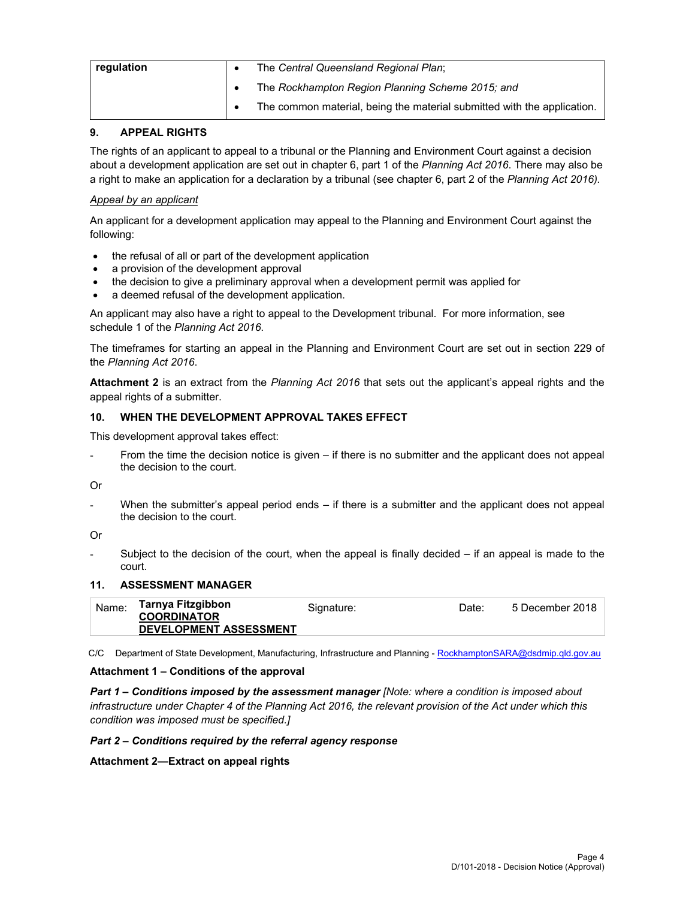| regulation | $\bullet$ | The Central Queensland Regional Plan;                                   |
|------------|-----------|-------------------------------------------------------------------------|
|            |           | The Rockhampton Region Planning Scheme 2015; and                        |
|            |           | The common material, being the material submitted with the application. |

# **9. APPEAL RIGHTS**

The rights of an applicant to appeal to a tribunal or the Planning and Environment Court against a decision about a development application are set out in chapter 6, part 1 of the *Planning Act 2016*. There may also be a right to make an application for a declaration by a tribunal (see chapter 6, part 2 of the *Planning Act 2016).*

# *Appeal by an applicant*

An applicant for a development application may appeal to the Planning and Environment Court against the following:

- the refusal of all or part of the development application
- a provision of the development approval
- the decision to give a preliminary approval when a development permit was applied for
- a deemed refusal of the development application.

An applicant may also have a right to appeal to the Development tribunal. For more information, see schedule 1 of the *Planning Act 2016*.

The timeframes for starting an appeal in the Planning and Environment Court are set out in section 229 of the *Planning Act 2016*.

**Attachment 2** is an extract from the *Planning Act 2016* that sets out the applicant's appeal rights and the appeal rights of a submitter.

## **10. WHEN THE DEVELOPMENT APPROVAL TAKES EFFECT**

This development approval takes effect:

From the time the decision notice is given – if there is no submitter and the applicant does not appeal the decision to the court.

Or

When the submitter's appeal period ends  $-$  if there is a submitter and the applicant does not appeal the decision to the court.

Or

Subject to the decision of the court, when the appeal is finally decided  $-$  if an appeal is made to the court.

## **11. ASSESSMENT MANAGER**

| Name: | Tarnya Fitzgibbon<br><b>COORDINATOR</b> | Signature: | Date: | 5 December 2018 |
|-------|-----------------------------------------|------------|-------|-----------------|
|       | <b>DEVELOPMENT ASSESSMENT</b>           |            |       |                 |

C/C Department of State Development, Manufacturing, Infrastructure and Planning - RockhamptonSARA@dsdmip.qld.gov.au

## **Attachment 1 – Conditions of the approval**

*Part 1* **–** *Conditions imposed by the assessment manager [Note: where a condition is imposed about infrastructure under Chapter 4 of the Planning Act 2016, the relevant provision of the Act under which this condition was imposed must be specified.]*

## *Part 2 – Conditions required by the referral agency response*

**Attachment 2—Extract on appeal rights**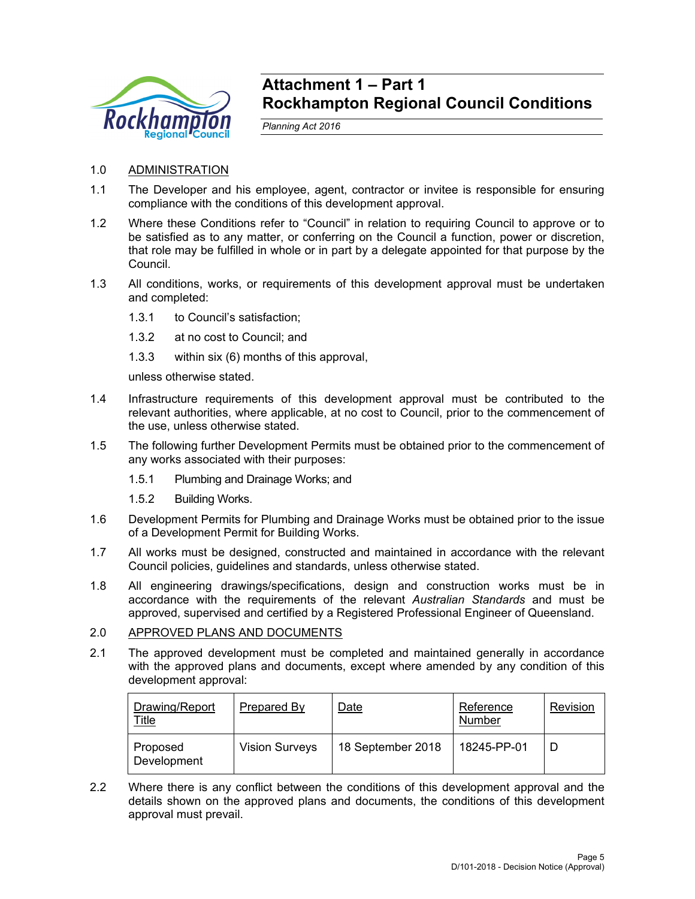

# **Attachment 1 – Part 1 Rockhampton Regional Council Conditions**

*Planning Act 2016* 

- 1.0 ADMINISTRATION
- 1.1 The Developer and his employee, agent, contractor or invitee is responsible for ensuring compliance with the conditions of this development approval.
- 1.2 Where these Conditions refer to "Council" in relation to requiring Council to approve or to be satisfied as to any matter, or conferring on the Council a function, power or discretion, that role may be fulfilled in whole or in part by a delegate appointed for that purpose by the Council.
- 1.3 All conditions, works, or requirements of this development approval must be undertaken and completed:
	- 1.3.1 to Council's satisfaction;
	- 1.3.2 at no cost to Council; and
	- 1.3.3 within six (6) months of this approval,

unless otherwise stated.

- 1.4 Infrastructure requirements of this development approval must be contributed to the relevant authorities, where applicable, at no cost to Council, prior to the commencement of the use, unless otherwise stated.
- 1.5 The following further Development Permits must be obtained prior to the commencement of any works associated with their purposes:
	- 1.5.1 Plumbing and Drainage Works; and
	- 1.5.2 Building Works.
- 1.6 Development Permits for Plumbing and Drainage Works must be obtained prior to the issue of a Development Permit for Building Works.
- 1.7 All works must be designed, constructed and maintained in accordance with the relevant Council policies, guidelines and standards, unless otherwise stated.
- 1.8 All engineering drawings/specifications, design and construction works must be in accordance with the requirements of the relevant *Australian Standards* and must be approved, supervised and certified by a Registered Professional Engineer of Queensland.

## 2.0 APPROVED PLANS AND DOCUMENTS

2.1 The approved development must be completed and maintained generally in accordance with the approved plans and documents, except where amended by any condition of this development approval:

| Drawing/Report<br><u>Title</u> | Prepared By           | Date              | Reference<br>Number | Revision |
|--------------------------------|-----------------------|-------------------|---------------------|----------|
| Proposed<br>Development        | <b>Vision Surveys</b> | 18 September 2018 | 18245-PP-01         |          |

2.2 Where there is any conflict between the conditions of this development approval and the details shown on the approved plans and documents, the conditions of this development approval must prevail.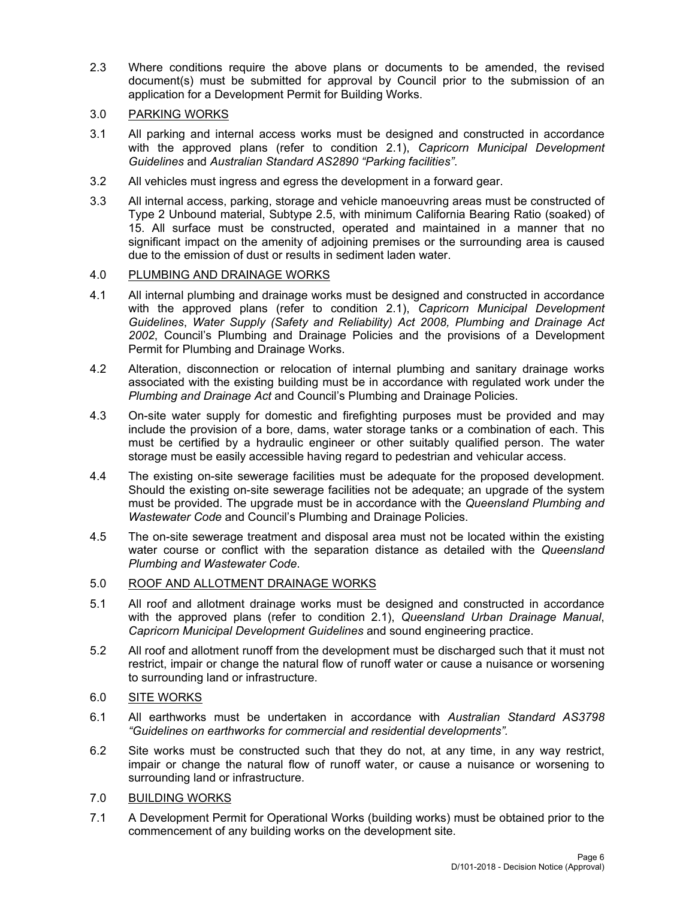2.3 Where conditions require the above plans or documents to be amended, the revised document(s) must be submitted for approval by Council prior to the submission of an application for a Development Permit for Building Works.

# 3.0 PARKING WORKS

- 3.1 All parking and internal access works must be designed and constructed in accordance with the approved plans (refer to condition 2.1), *Capricorn Municipal Development Guidelines* and *Australian Standard AS2890 "Parking facilities"*.
- 3.2 All vehicles must ingress and egress the development in a forward gear.
- 3.3 All internal access, parking, storage and vehicle manoeuvring areas must be constructed of Type 2 Unbound material, Subtype 2.5, with minimum California Bearing Ratio (soaked) of 15. All surface must be constructed, operated and maintained in a manner that no significant impact on the amenity of adjoining premises or the surrounding area is caused due to the emission of dust or results in sediment laden water.

# 4.0 PLUMBING AND DRAINAGE WORKS

- 4.1 All internal plumbing and drainage works must be designed and constructed in accordance with the approved plans (refer to condition 2.1), *Capricorn Municipal Development Guidelines*, *Water Supply (Safety and Reliability) Act 2008, Plumbing and Drainage Act 2002*, Council's Plumbing and Drainage Policies and the provisions of a Development Permit for Plumbing and Drainage Works.
- 4.2 Alteration, disconnection or relocation of internal plumbing and sanitary drainage works associated with the existing building must be in accordance with regulated work under the *Plumbing and Drainage Act* and Council's Plumbing and Drainage Policies.
- 4.3 On-site water supply for domestic and firefighting purposes must be provided and may include the provision of a bore, dams, water storage tanks or a combination of each. This must be certified by a hydraulic engineer or other suitably qualified person. The water storage must be easily accessible having regard to pedestrian and vehicular access.
- 4.4 The existing on-site sewerage facilities must be adequate for the proposed development. Should the existing on-site sewerage facilities not be adequate; an upgrade of the system must be provided. The upgrade must be in accordance with the *Queensland Plumbing and Wastewater Code* and Council's Plumbing and Drainage Policies.
- 4.5 The on-site sewerage treatment and disposal area must not be located within the existing water course or conflict with the separation distance as detailed with the *Queensland Plumbing and Wastewater Code*.

# 5.0 ROOF AND ALLOTMENT DRAINAGE WORKS

- 5.1 All roof and allotment drainage works must be designed and constructed in accordance with the approved plans (refer to condition 2.1), *Queensland Urban Drainage Manual*, *Capricorn Municipal Development Guidelines* and sound engineering practice.
- 5.2 All roof and allotment runoff from the development must be discharged such that it must not restrict, impair or change the natural flow of runoff water or cause a nuisance or worsening to surrounding land or infrastructure.

# 6.0 SITE WORKS

- 6.1 All earthworks must be undertaken in accordance with *Australian Standard AS3798 "Guidelines on earthworks for commercial and residential developments".*
- 6.2 Site works must be constructed such that they do not, at any time, in any way restrict, impair or change the natural flow of runoff water, or cause a nuisance or worsening to surrounding land or infrastructure.
- 7.0 BUILDING WORKS
- 7.1 A Development Permit for Operational Works (building works) must be obtained prior to the commencement of any building works on the development site.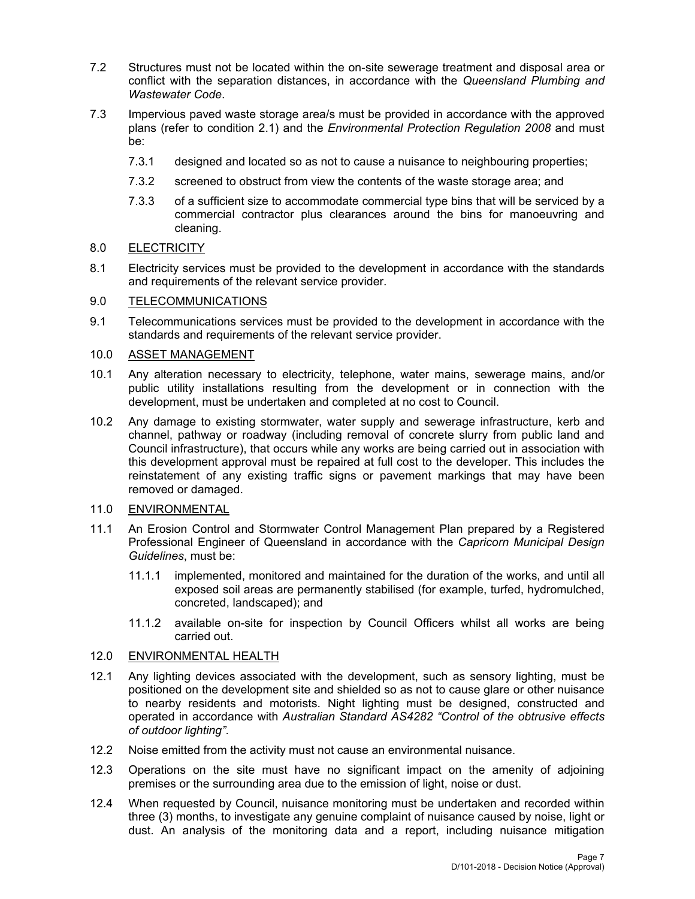- 7.2 Structures must not be located within the on-site sewerage treatment and disposal area or conflict with the separation distances, in accordance with the *Queensland Plumbing and Wastewater Code*.
- 7.3 Impervious paved waste storage area/s must be provided in accordance with the approved plans (refer to condition 2.1) and the *Environmental Protection Regulation 2008* and must be:
	- 7.3.1 designed and located so as not to cause a nuisance to neighbouring properties;
	- 7.3.2 screened to obstruct from view the contents of the waste storage area; and
	- 7.3.3 of a sufficient size to accommodate commercial type bins that will be serviced by a commercial contractor plus clearances around the bins for manoeuvring and cleaning.

# 8.0 ELECTRICITY

8.1 Electricity services must be provided to the development in accordance with the standards and requirements of the relevant service provider.

# 9.0 TELECOMMUNICATIONS

9.1 Telecommunications services must be provided to the development in accordance with the standards and requirements of the relevant service provider.

# 10.0 ASSET MANAGEMENT

- 10.1 Any alteration necessary to electricity, telephone, water mains, sewerage mains, and/or public utility installations resulting from the development or in connection with the development, must be undertaken and completed at no cost to Council.
- 10.2 Any damage to existing stormwater, water supply and sewerage infrastructure, kerb and channel, pathway or roadway (including removal of concrete slurry from public land and Council infrastructure), that occurs while any works are being carried out in association with this development approval must be repaired at full cost to the developer. This includes the reinstatement of any existing traffic signs or pavement markings that may have been removed or damaged.

# 11.0 ENVIRONMENTAL

- 11.1 An Erosion Control and Stormwater Control Management Plan prepared by a Registered Professional Engineer of Queensland in accordance with the *Capricorn Municipal Design Guidelines*, must be:
	- 11.1.1 implemented, monitored and maintained for the duration of the works, and until all exposed soil areas are permanently stabilised (for example, turfed, hydromulched, concreted, landscaped); and
	- 11.1.2 available on-site for inspection by Council Officers whilst all works are being carried out.

## 12.0 ENVIRONMENTAL HEALTH

- 12.1 Any lighting devices associated with the development, such as sensory lighting, must be positioned on the development site and shielded so as not to cause glare or other nuisance to nearby residents and motorists. Night lighting must be designed, constructed and operated in accordance with *Australian Standard AS4282 "Control of the obtrusive effects of outdoor lighting"*.
- 12.2 Noise emitted from the activity must not cause an environmental nuisance.
- 12.3 Operations on the site must have no significant impact on the amenity of adjoining premises or the surrounding area due to the emission of light, noise or dust.
- 12.4 When requested by Council, nuisance monitoring must be undertaken and recorded within three (3) months, to investigate any genuine complaint of nuisance caused by noise, light or dust. An analysis of the monitoring data and a report, including nuisance mitigation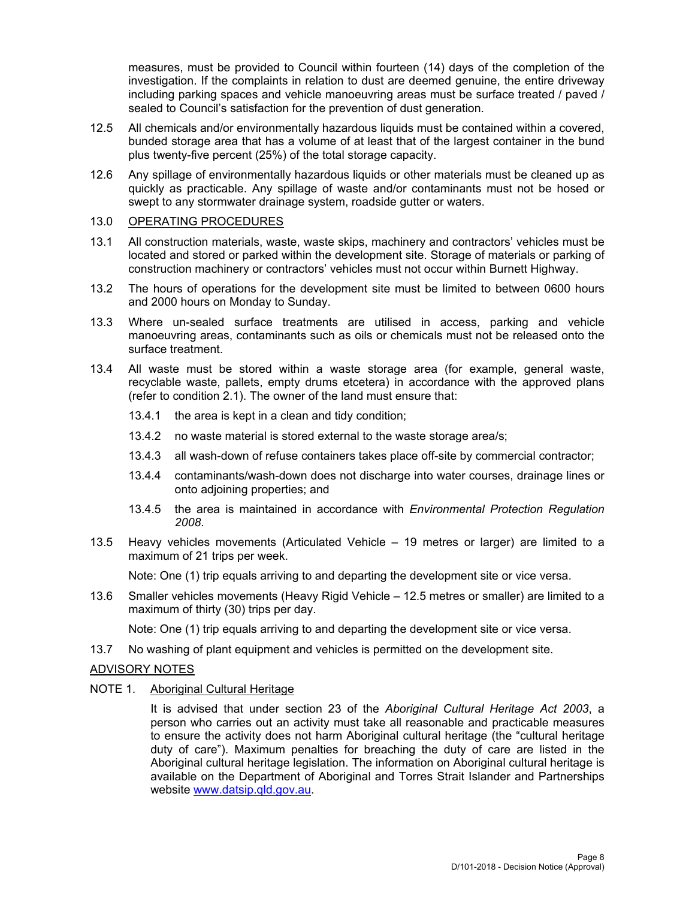measures, must be provided to Council within fourteen (14) days of the completion of the investigation. If the complaints in relation to dust are deemed genuine, the entire driveway including parking spaces and vehicle manoeuvring areas must be surface treated / paved / sealed to Council's satisfaction for the prevention of dust generation.

- 12.5 All chemicals and/or environmentally hazardous liquids must be contained within a covered, bunded storage area that has a volume of at least that of the largest container in the bund plus twenty-five percent (25%) of the total storage capacity.
- 12.6 Any spillage of environmentally hazardous liquids or other materials must be cleaned up as quickly as practicable. Any spillage of waste and/or contaminants must not be hosed or swept to any stormwater drainage system, roadside gutter or waters.

# 13.0 OPERATING PROCEDURES

- 13.1 All construction materials, waste, waste skips, machinery and contractors' vehicles must be located and stored or parked within the development site. Storage of materials or parking of construction machinery or contractors' vehicles must not occur within Burnett Highway.
- 13.2 The hours of operations for the development site must be limited to between 0600 hours and 2000 hours on Monday to Sunday.
- 13.3 Where un-sealed surface treatments are utilised in access, parking and vehicle manoeuvring areas, contaminants such as oils or chemicals must not be released onto the surface treatment.
- 13.4 All waste must be stored within a waste storage area (for example, general waste, recyclable waste, pallets, empty drums etcetera) in accordance with the approved plans (refer to condition 2.1). The owner of the land must ensure that:
	- 13.4.1 the area is kept in a clean and tidy condition;
	- 13.4.2 no waste material is stored external to the waste storage area/s;
	- 13.4.3 all wash-down of refuse containers takes place off-site by commercial contractor;
	- 13.4.4 contaminants/wash-down does not discharge into water courses, drainage lines or onto adjoining properties; and
	- 13.4.5 the area is maintained in accordance with *Environmental Protection Regulation 2008*.
- 13.5 Heavy vehicles movements (Articulated Vehicle 19 metres or larger) are limited to a maximum of 21 trips per week.

Note: One (1) trip equals arriving to and departing the development site or vice versa.

13.6 Smaller vehicles movements (Heavy Rigid Vehicle – 12.5 metres or smaller) are limited to a maximum of thirty (30) trips per day.

Note: One (1) trip equals arriving to and departing the development site or vice versa.

13.7 No washing of plant equipment and vehicles is permitted on the development site.

# ADVISORY NOTES

NOTE 1. Aboriginal Cultural Heritage

It is advised that under section 23 of the *Aboriginal Cultural Heritage Act 2003*, a person who carries out an activity must take all reasonable and practicable measures to ensure the activity does not harm Aboriginal cultural heritage (the "cultural heritage duty of care"). Maximum penalties for breaching the duty of care are listed in the Aboriginal cultural heritage legislation. The information on Aboriginal cultural heritage is available on the Department of Aboriginal and Torres Strait Islander and Partnerships website www.datsip.qld.gov.au.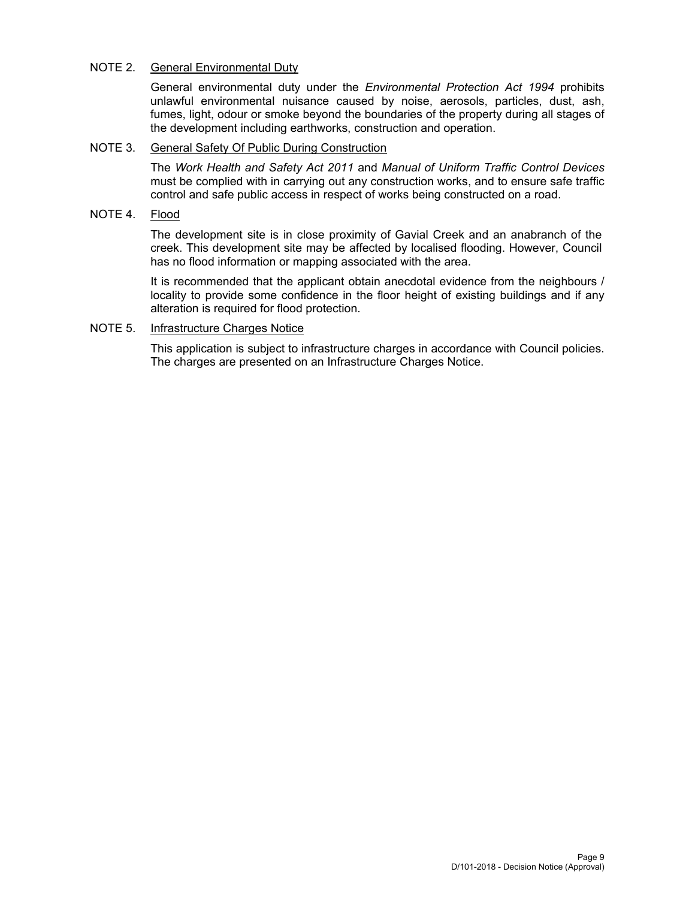# NOTE 2. General Environmental Duty

General environmental duty under the *Environmental Protection Act 1994* prohibits unlawful environmental nuisance caused by noise, aerosols, particles, dust, ash, fumes, light, odour or smoke beyond the boundaries of the property during all stages of the development including earthworks, construction and operation.

# NOTE 3. General Safety Of Public During Construction

The *Work Health and Safety Act 2011* and *Manual of Uniform Traffic Control Devices* must be complied with in carrying out any construction works, and to ensure safe traffic control and safe public access in respect of works being constructed on a road.

# NOTE 4. Flood

The development site is in close proximity of Gavial Creek and an anabranch of the creek. This development site may be affected by localised flooding. However, Council has no flood information or mapping associated with the area.

It is recommended that the applicant obtain anecdotal evidence from the neighbours / locality to provide some confidence in the floor height of existing buildings and if any alteration is required for flood protection.

# NOTE 5. Infrastructure Charges Notice

This application is subject to infrastructure charges in accordance with Council policies. The charges are presented on an Infrastructure Charges Notice.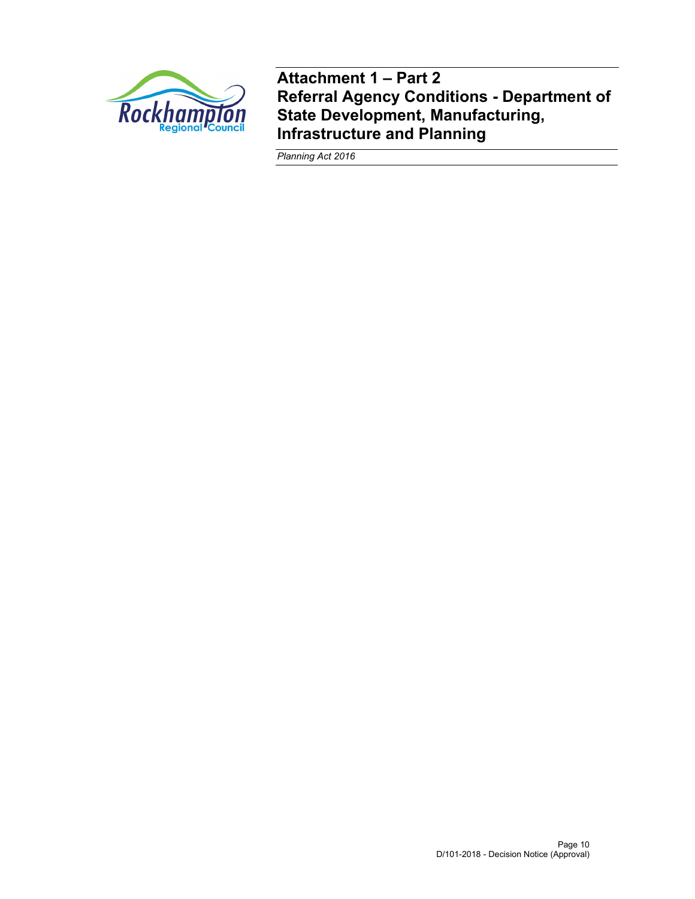

**Attachment 1 – Part 2 Referral Agency Conditions - Department of State Development, Manufacturing, Infrastructure and Planning** 

*Planning Act 2016*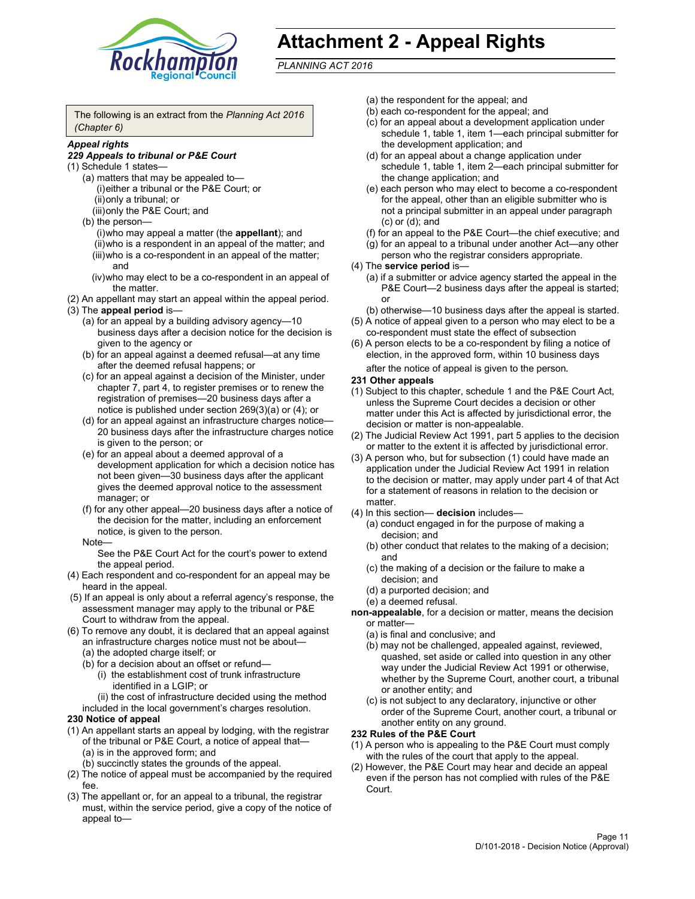

# **Attachment 2 - Appeal Rights**

*PLANNING ACT 2016*

The following is an extract from the *Planning Act 2016 (Chapter 6)*

# *Appeal rights*

#### *229 Appeals to tribunal or P&E Court*

- (1) Schedule 1 states—
	- (a) matters that may be appealed to— (i) either a tribunal or the P&E Court; or (ii) only a tribunal; or (iii) only the P&E Court; and
	- (b) the person—
		- (i) who may appeal a matter (the **appellant**); and (ii) who is a respondent in an appeal of the matter; and (iii) who is a co-respondent in an appeal of the matter; and
		- (iv) who may elect to be a co-respondent in an appeal of the matter.
- (2) An appellant may start an appeal within the appeal period.
- (3) The **appeal period** is—
	- (a) for an appeal by a building advisory agency—10 business days after a decision notice for the decision is given to the agency or
	- (b) for an appeal against a deemed refusal—at any time after the deemed refusal happens; or
	- (c) for an appeal against a decision of the Minister, under chapter 7, part 4, to register premises or to renew the registration of premises—20 business days after a notice is published under section 269(3)(a) or (4); or
	- (d) for an appeal against an infrastructure charges notice— 20 business days after the infrastructure charges notice is given to the person; or
	- (e) for an appeal about a deemed approval of a development application for which a decision notice has not been given—30 business days after the applicant gives the deemed approval notice to the assessment manager; or
	- (f) for any other appeal—20 business days after a notice of the decision for the matter, including an enforcement notice, is given to the person.

#### Note—

See the P&E Court Act for the court's power to extend the appeal period.

- (4) Each respondent and co-respondent for an appeal may be heard in the appeal.
- (5) If an appeal is only about a referral agency's response, the assessment manager may apply to the tribunal or P&E Court to withdraw from the appeal.
- (6) To remove any doubt, it is declared that an appeal against an infrastructure charges notice must not be about— (a) the adopted charge itself; or
	- (b) for a decision about an offset or refund—
		- (i) the establishment cost of trunk infrastructure identified in a LGIP; or
		- (ii) the cost of infrastructure decided using the method
	- included in the local government's charges resolution.
- **230 Notice of appeal**
- (1) An appellant starts an appeal by lodging, with the registrar of the tribunal or P&E Court, a notice of appeal that— (a) is in the approved form; and
	- (b) succinctly states the grounds of the appeal.
- (2) The notice of appeal must be accompanied by the required fee.
- (3) The appellant or, for an appeal to a tribunal, the registrar must, within the service period, give a copy of the notice of appeal to—
- (a) the respondent for the appeal; and
- (b) each co-respondent for the appeal; and
- (c) for an appeal about a development application under schedule 1, table 1, item 1—each principal submitter for the development application; and
- (d) for an appeal about a change application under schedule 1, table 1, item 2—each principal submitter for the change application; and
- (e) each person who may elect to become a co-respondent for the appeal, other than an eligible submitter who is not a principal submitter in an appeal under paragraph (c) or (d); and
- (f) for an appeal to the P&E Court—the chief executive; and
- (g) for an appeal to a tribunal under another Act—any other person who the registrar considers appropriate.
- (4) The **service period** is—
	- (a) if a submitter or advice agency started the appeal in the P&E Court-2 business days after the appeal is started; or
	- (b) otherwise—10 business days after the appeal is started.
- (5) A notice of appeal given to a person who may elect to be a co-respondent must state the effect of subsection
- (6) A person elects to be a co-respondent by filing a notice of election, in the approved form, within 10 business days
	- after the notice of appeal is given to the person*.*
- **231 Other appeals**
- (1) Subject to this chapter, schedule 1 and the P&E Court Act, unless the Supreme Court decides a decision or other matter under this Act is affected by jurisdictional error, the decision or matter is non-appealable.
- (2) The Judicial Review Act 1991, part 5 applies to the decision or matter to the extent it is affected by jurisdictional error.
- (3) A person who, but for subsection (1) could have made an application under the Judicial Review Act 1991 in relation to the decision or matter, may apply under part 4 of that Act for a statement of reasons in relation to the decision or matter.
- (4) In this section— **decision** includes—
	- (a) conduct engaged in for the purpose of making a decision; and
	- (b) other conduct that relates to the making of a decision; and
	- (c) the making of a decision or the failure to make a decision; and
	- (d) a purported decision; and
	- (e) a deemed refusal.

**non-appealable**, for a decision or matter, means the decision or matter—

- (a) is final and conclusive; and
- (b) may not be challenged, appealed against, reviewed, quashed, set aside or called into question in any other way under the Judicial Review Act 1991 or otherwise, whether by the Supreme Court, another court, a tribunal or another entity; and
- (c) is not subject to any declaratory, injunctive or other order of the Supreme Court, another court, a tribunal or another entity on any ground.

#### **232 Rules of the P&E Court**

- (1) A person who is appealing to the P&E Court must comply with the rules of the court that apply to the appeal.
- (2) However, the P&E Court may hear and decide an appeal even if the person has not complied with rules of the P&E Court.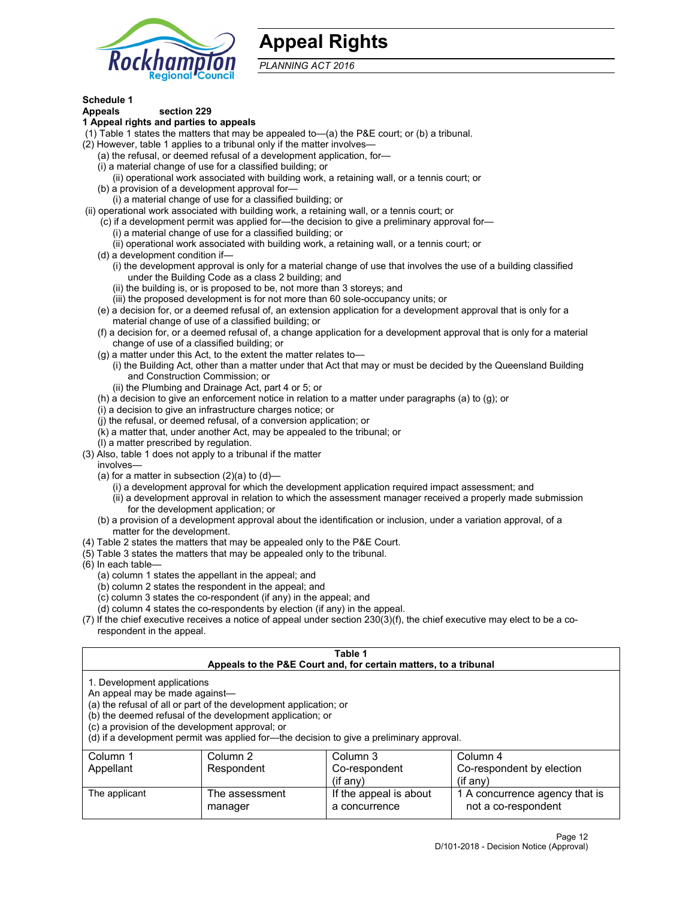

# **Appeal Rights**

*PLANNING ACT 2016*

# **Schedule 1**

# **Appeals section 229**

#### **1 Appeal rights and parties to appeals**

- (1) Table 1 states the matters that may be appealed to—(a) the P&E court; or (b) a tribunal.
- (2) However, table 1 applies to a tribunal only if the matter involves—
	- (a) the refusal, or deemed refusal of a development application, for—
	- (i) a material change of use for a classified building; or
	- (ii) operational work associated with building work, a retaining wall, or a tennis court; or
	- (b) a provision of a development approval for—
	- (i) a material change of use for a classified building; or
- (ii) operational work associated with building work, a retaining wall, or a tennis court; or
	- (c) if a development permit was applied for—the decision to give a preliminary approval for—
		- (i) a material change of use for a classified building; or
	- (ii) operational work associated with building work, a retaining wall, or a tennis court; or
	- (d) a development condition if—
		- (i) the development approval is only for a material change of use that involves the use of a building classified under the Building Code as a class 2 building; and
		- (ii) the building is, or is proposed to be, not more than 3 storeys; and
		- (iii) the proposed development is for not more than 60 sole-occupancy units; or
	- (e) a decision for, or a deemed refusal of, an extension application for a development approval that is only for a material change of use of a classified building; or
	- (f) a decision for, or a deemed refusal of, a change application for a development approval that is only for a material change of use of a classified building; or
	- (g) a matter under this Act, to the extent the matter relates to—
		- (i) the Building Act, other than a matter under that Act that may or must be decided by the Queensland Building and Construction Commission; or
		- (ii) the Plumbing and Drainage Act, part 4 or 5; or
	- (h) a decision to give an enforcement notice in relation to a matter under paragraphs (a) to (g); or
	- (i) a decision to give an infrastructure charges notice; or
	- (j) the refusal, or deemed refusal, of a conversion application; or
	- (k) a matter that, under another Act, may be appealed to the tribunal; or
	- (l) a matter prescribed by regulation.
- (3) Also, table 1 does not apply to a tribunal if the matter
	- involves—
		- (a) for a matter in subsection  $(2)(a)$  to  $(d)$ 
			- (i) a development approval for which the development application required impact assessment; and
			- (ii) a development approval in relation to which the assessment manager received a properly made submission for the development application; or
	- (b) a provision of a development approval about the identification or inclusion, under a variation approval, of a matter for the development.
- (4) Table 2 states the matters that may be appealed only to the P&E Court.
- (5) Table 3 states the matters that may be appealed only to the tribunal.
- (6) In each table—
	- (a) column 1 states the appellant in the appeal; and
	- (b) column 2 states the respondent in the appeal; and
	- (c) column 3 states the co-respondent (if any) in the appeal; and
	- (d) column 4 states the co-respondents by election (if any) in the appeal.
- (7) If the chief executive receives a notice of appeal under section 230(3)(f), the chief executive may elect to be a corespondent in the appeal.

| Table 1<br>Appeals to the P&E Court and, for certain matters, to a tribunal                                      |                                                                                                                                |                                                                                          |                                                       |  |  |
|------------------------------------------------------------------------------------------------------------------|--------------------------------------------------------------------------------------------------------------------------------|------------------------------------------------------------------------------------------|-------------------------------------------------------|--|--|
| 1. Development applications<br>An appeal may be made against-<br>(c) a provision of the development approval; or | (a) the refusal of all or part of the development application; or<br>(b) the deemed refusal of the development application; or | (d) if a development permit was applied for—the decision to give a preliminary approval. |                                                       |  |  |
| Column 1                                                                                                         | Column 2                                                                                                                       | Column 3                                                                                 | Column 4                                              |  |  |
| Appellant                                                                                                        | Respondent                                                                                                                     | Co-respondent<br>$($ if any $)$                                                          | Co-respondent by election<br>$(if$ anv)               |  |  |
| The applicant                                                                                                    | The assessment<br>manager                                                                                                      | If the appeal is about<br>a concurrence                                                  | 1 A concurrence agency that is<br>not a co-respondent |  |  |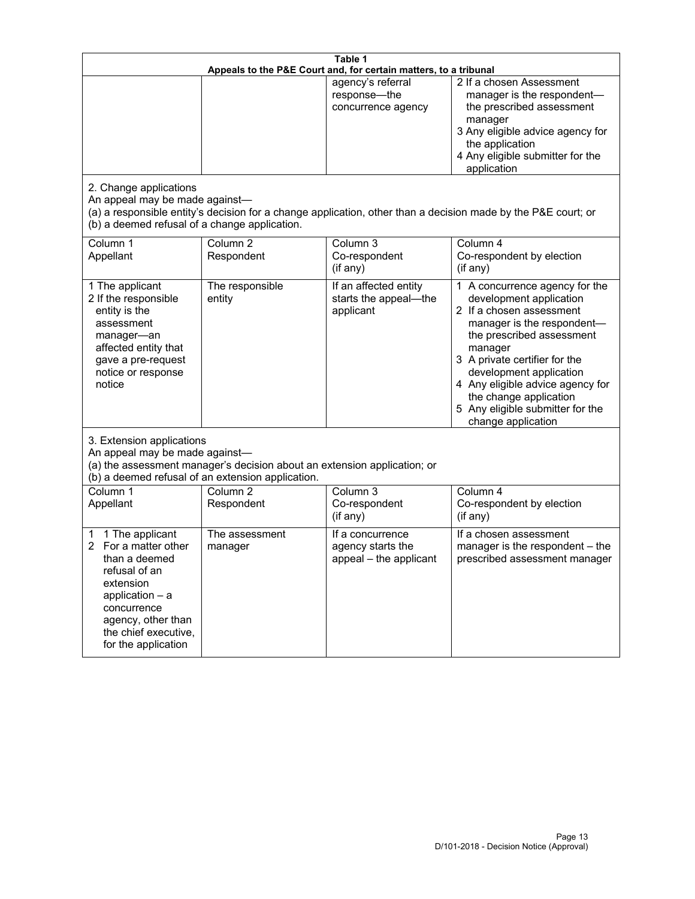| Table 1<br>Appeals to the P&E Court and, for certain matters, to a tribunal                                                                                                                        |                                     |                                                                 |                                                                                                                                                                                                                                                                                                                                                 |  |
|----------------------------------------------------------------------------------------------------------------------------------------------------------------------------------------------------|-------------------------------------|-----------------------------------------------------------------|-------------------------------------------------------------------------------------------------------------------------------------------------------------------------------------------------------------------------------------------------------------------------------------------------------------------------------------------------|--|
| 2. Change applications<br>An appeal may be made against-                                                                                                                                           |                                     | agency's referral<br>response-the<br>concurrence agency         | 2 If a chosen Assessment<br>manager is the respondent-<br>the prescribed assessment<br>manager<br>3 Any eligible advice agency for<br>the application<br>4 Any eligible submitter for the<br>application<br>(a) a responsible entity's decision for a change application, other than a decision made by the P&E court; or                       |  |
| (b) a deemed refusal of a change application.<br>Column 1<br>Appellant                                                                                                                             | Column $\overline{2}$<br>Respondent | Column 3<br>Co-respondent<br>(if any)                           | Column 4<br>Co-respondent by election<br>(if any)                                                                                                                                                                                                                                                                                               |  |
| 1 The applicant<br>2 If the responsible<br>entity is the<br>assessment<br>manager-an<br>affected entity that<br>gave a pre-request<br>notice or response<br>notice                                 | The responsible<br>entity           | If an affected entity<br>starts the appeal-the<br>applicant     | 1 A concurrence agency for the<br>development application<br>2 If a chosen assessment<br>manager is the respondent-<br>the prescribed assessment<br>manager<br>3 A private certifier for the<br>development application<br>4 Any eligible advice agency for<br>the change application<br>5 Any eligible submitter for the<br>change application |  |
| 3. Extension applications<br>An appeal may be made against-<br>(a) the assessment manager's decision about an extension application; or<br>(b) a deemed refusal of an extension application.       |                                     |                                                                 |                                                                                                                                                                                                                                                                                                                                                 |  |
| Column 1<br>Appellant                                                                                                                                                                              | Column <sub>2</sub><br>Respondent   | Column 3<br>Co-respondent<br>(if any)                           | Column 4<br>Co-respondent by election<br>(if any)                                                                                                                                                                                                                                                                                               |  |
| 1 The applicant<br>1<br>For a matter other<br>than a deemed<br>refusal of an<br>extension<br>application $-$ a<br>concurrence<br>agency, other than<br>the chief executive,<br>for the application | The assessment<br>manager           | If a concurrence<br>agency starts the<br>appeal - the applicant | If a chosen assessment<br>manager is the respondent - the<br>prescribed assessment manager                                                                                                                                                                                                                                                      |  |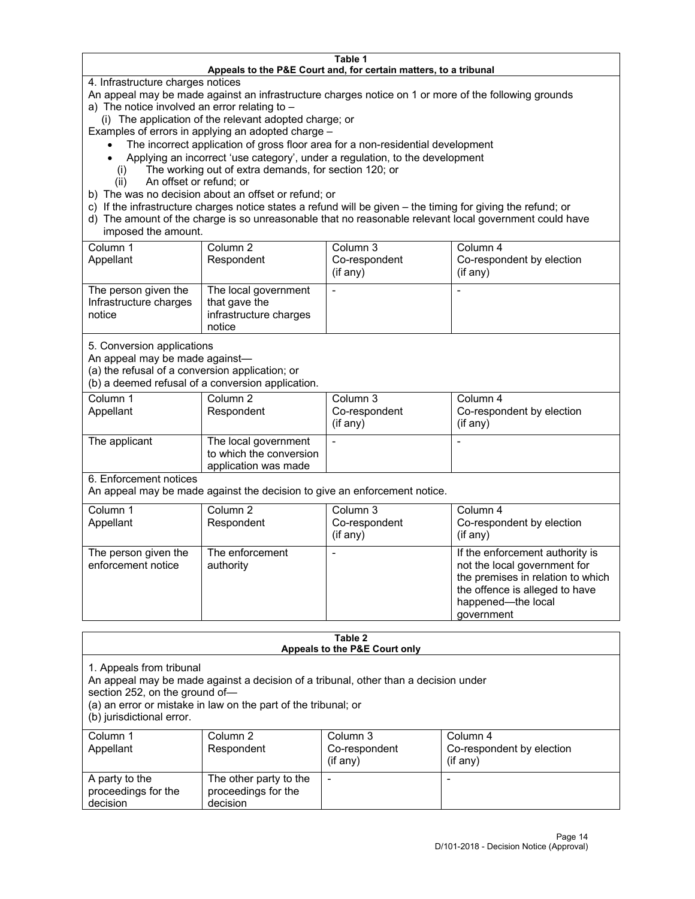#### **Table 1 Appeals to the P&E Court and, for certain matters, to a tribunal**

4. Infrastructure charges notices

An appeal may be made against an infrastructure charges notice on 1 or more of the following grounds

- a) The notice involved an error relating to
	- (i) The application of the relevant adopted charge; or

Examples of errors in applying an adopted charge –

- The incorrect application of gross floor area for a non-residential development
- Applying an incorrect 'use category', under a regulation, to the development
- (i) The working out of extra demands, for section 120; or
- (ii) An offset or refund; or
- b) The was no decision about an offset or refund; or
- c) If the infrastructure charges notice states a refund will be given the timing for giving the refund; or
- d) The amount of the charge is so unreasonable that no reasonable relevant local government could have imposed the amount.

| Column 1<br>Appellant                                    | Column 2<br>Respondent                                                    | Column 3<br>Co-respondent<br>(if any) | Column 4<br>Co-respondent by election<br>(i f any) |
|----------------------------------------------------------|---------------------------------------------------------------------------|---------------------------------------|----------------------------------------------------|
| The person given the<br>Infrastructure charges<br>notice | The local government<br>that gave the<br>infrastructure charges<br>notice |                                       |                                                    |

5. Conversion applications

An appeal may be made against—

(a) the refusal of a conversion application; or

(b) a deemed refusal of a conversion application.

| Column 1      | Column 2                | Column 3       | Column 4                  |
|---------------|-------------------------|----------------|---------------------------|
| Appellant     | Respondent              | Co-respondent  | Co-respondent by election |
|               |                         | $($ if any $)$ | (if any)                  |
|               |                         |                |                           |
| The applicant | The local government    |                |                           |
|               | to which the conversion |                |                           |
|               | application was made    |                |                           |

6. Enforcement notices

An appeal may be made against the decision to give an enforcement notice.

| Column 1<br>Appellant                      | Column 2<br>Respondent       | Column 3<br>Co-respondent<br>(if any) | Column 4<br>Co-respondent by election<br>(if any)                                                                                                                          |
|--------------------------------------------|------------------------------|---------------------------------------|----------------------------------------------------------------------------------------------------------------------------------------------------------------------------|
| The person given the<br>enforcement notice | The enforcement<br>authority |                                       | If the enforcement authority is<br>not the local government for<br>the premises in relation to which<br>the offence is alleged to have<br>happened-the local<br>government |

#### **Table 2 Appeals to the P&E Court only**

1. Appeals from tribunal

An appeal may be made against a decision of a tribunal, other than a decision under

section 252, on the ground of—

(a) an error or mistake in law on the part of the tribunal; or

(b) jurisdictional error.

| Column 1<br>Appellant                             | Column 2<br>Respondent                                    | Column 3<br>Co-respondent<br>$(if$ any) | Column 4<br>Co-respondent by election<br>$(if$ any) |
|---------------------------------------------------|-----------------------------------------------------------|-----------------------------------------|-----------------------------------------------------|
| A party to the<br>proceedings for the<br>decision | The other party to the<br>proceedings for the<br>decision | $\overline{\phantom{a}}$                |                                                     |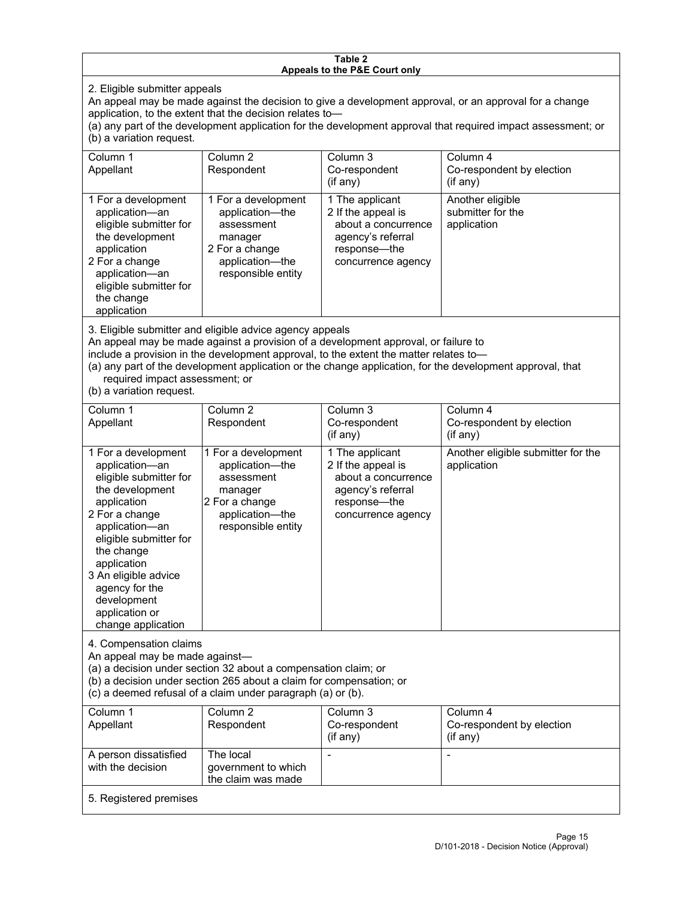#### **Table 2 Appeals to the P&E Court only**

2. Eligible submitter appeals

An appeal may be made against the decision to give a development approval, or an approval for a change application, to the extent that the decision relates to—

(a) any part of the development application for the development approval that required impact assessment; or (b) a variation request.

| Column 1<br>Appellant                                                                                                                                                                        | Column 2<br>Respondent                                                                                                     | Column 3<br>Co-respondent<br>(i f any)                                                                                  | Column 4<br>Co-respondent by election<br>$(if$ any)  |
|----------------------------------------------------------------------------------------------------------------------------------------------------------------------------------------------|----------------------------------------------------------------------------------------------------------------------------|-------------------------------------------------------------------------------------------------------------------------|------------------------------------------------------|
| 1 For a development<br>application-an<br>eligible submitter for<br>the development<br>application<br>2 For a change<br>application-an<br>eligible submitter for<br>the change<br>application | 1 For a development<br>application—the<br>assessment<br>manager<br>2 For a change<br>application-the<br>responsible entity | 1 The applicant<br>2 If the appeal is<br>about a concurrence<br>agency's referral<br>response-the<br>concurrence agency | Another eligible<br>submitter for the<br>application |

3. Eligible submitter and eligible advice agency appeals

An appeal may be made against a provision of a development approval, or failure to

include a provision in the development approval, to the extent the matter relates to—

(a) any part of the development application or the change application, for the development approval, that required impact assessment; or

(b) a variation request.

| Column <sub>1</sub><br>Appellant                                                                                                                                                                                                                                                              | Column <sub>2</sub><br>Respondent                                                                                          | Column <sub>3</sub><br>Co-respondent<br>(i f any)                                                                       | Column 4<br>Co-respondent by election<br>(if any)  |
|-----------------------------------------------------------------------------------------------------------------------------------------------------------------------------------------------------------------------------------------------------------------------------------------------|----------------------------------------------------------------------------------------------------------------------------|-------------------------------------------------------------------------------------------------------------------------|----------------------------------------------------|
| 1 For a development<br>application-an<br>eligible submitter for<br>the development<br>application<br>2 For a change<br>application-an<br>eligible submitter for<br>the change<br>application<br>3 An eligible advice<br>agency for the<br>development<br>application or<br>change application | 1 For a development<br>application-the<br>assessment<br>manager<br>2 For a change<br>application-the<br>responsible entity | 1 The applicant<br>2 If the appeal is<br>about a concurrence<br>agency's referral<br>response-the<br>concurrence agency | Another eligible submitter for the<br>application  |
| 4. Compensation claims<br>An appeal may be made against-<br>(a) a decision under section 32 about a compensation claim; or<br>(b) a decision under section 265 about a claim for compensation; or<br>(c) a deemed refusal of a claim under paragraph (a) or (b).                              |                                                                                                                            |                                                                                                                         |                                                    |
| Column <sub>1</sub><br>Appellant                                                                                                                                                                                                                                                              | Column <sub>2</sub><br>Respondent                                                                                          | Column 3<br>Co-respondent<br>(i f any)                                                                                  | Column 4<br>Co-respondent by election<br>(i f any) |
| A person dissatisfied<br>with the decision                                                                                                                                                                                                                                                    | The local<br>government to which<br>the claim was made                                                                     |                                                                                                                         |                                                    |
| 5. Registered premises                                                                                                                                                                                                                                                                        |                                                                                                                            |                                                                                                                         |                                                    |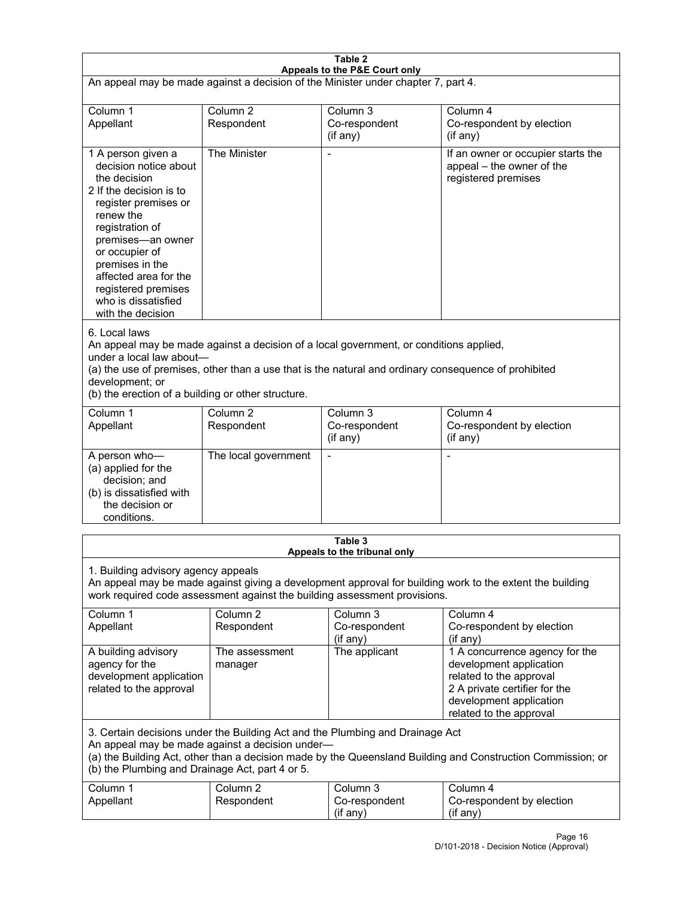| Table 2<br>Appeals to the P&E Court only                                                                                                                                                                                                                                                                             |                                   |                                                  |                                                                                                                                                                             |  |  |
|----------------------------------------------------------------------------------------------------------------------------------------------------------------------------------------------------------------------------------------------------------------------------------------------------------------------|-----------------------------------|--------------------------------------------------|-----------------------------------------------------------------------------------------------------------------------------------------------------------------------------|--|--|
| An appeal may be made against a decision of the Minister under chapter 7, part 4.                                                                                                                                                                                                                                    |                                   |                                                  |                                                                                                                                                                             |  |  |
|                                                                                                                                                                                                                                                                                                                      |                                   |                                                  |                                                                                                                                                                             |  |  |
| Column 1<br>Appellant                                                                                                                                                                                                                                                                                                | Column <sub>2</sub><br>Respondent | Column <sub>3</sub><br>Co-respondent<br>(if any) | Column 4<br>Co-respondent by election<br>$($ if any $)$                                                                                                                     |  |  |
| 1 A person given a<br>decision notice about<br>the decision<br>2 If the decision is to<br>register premises or<br>renew the<br>registration of<br>premises-an owner<br>or occupier of<br>premises in the<br>affected area for the<br>registered premises<br>who is dissatisfied<br>with the decision                 | The Minister                      |                                                  | If an owner or occupier starts the<br>appeal - the owner of the<br>registered premises                                                                                      |  |  |
| 6. Local laws<br>An appeal may be made against a decision of a local government, or conditions applied,<br>under a local law about-<br>(a) the use of premises, other than a use that is the natural and ordinary consequence of prohibited<br>development; or<br>(b) the erection of a building or other structure. |                                   |                                                  |                                                                                                                                                                             |  |  |
| Column 1<br>Appellant                                                                                                                                                                                                                                                                                                | Column <sub>2</sub><br>Respondent | Column 3<br>Co-respondent<br>(if any)            | Column 4<br>Co-respondent by election<br>(if any)                                                                                                                           |  |  |
| A person who-<br>(a) applied for the<br>decision; and<br>(b) is dissatisfied with<br>the decision or<br>conditions.                                                                                                                                                                                                  | The local government              | $\blacksquare$                                   | $\blacksquare$                                                                                                                                                              |  |  |
|                                                                                                                                                                                                                                                                                                                      | Table 3                           |                                                  |                                                                                                                                                                             |  |  |
| Appeals to the tribunal only<br>1. Building advisory agency appeals<br>An appeal may be made against giving a development approval for building work to the extent the building<br>work required code assessment against the building assessment provisions.                                                         |                                   |                                                  |                                                                                                                                                                             |  |  |
| Column 1<br>Appellant                                                                                                                                                                                                                                                                                                | Column <sub>2</sub><br>Respondent | Column <sub>3</sub><br>Co-respondent<br>(if any) | Column 4<br>Co-respondent by election<br>(if any)                                                                                                                           |  |  |
| A building advisory<br>agency for the<br>development application<br>related to the approval                                                                                                                                                                                                                          | The assessment<br>manager         | The applicant                                    | 1 A concurrence agency for the<br>development application<br>related to the approval<br>2 A private certifier for the<br>development application<br>related to the approval |  |  |
| 3. Certain decisions under the Building Act and the Plumbing and Drainage Act<br>An appeal may be made against a decision under-<br>(a) the Building Act, other than a decision made by the Queensland Building and Construction Commission; or<br>(b) the Plumbing and Drainage Act, part 4 or 5.                   |                                   |                                                  |                                                                                                                                                                             |  |  |
| Column 1<br>Appellant                                                                                                                                                                                                                                                                                                | Column <sub>2</sub><br>Respondent | Column 3<br>Co-respondent<br>(if any)            | Column 4<br>Co-respondent by election<br>(if any)                                                                                                                           |  |  |